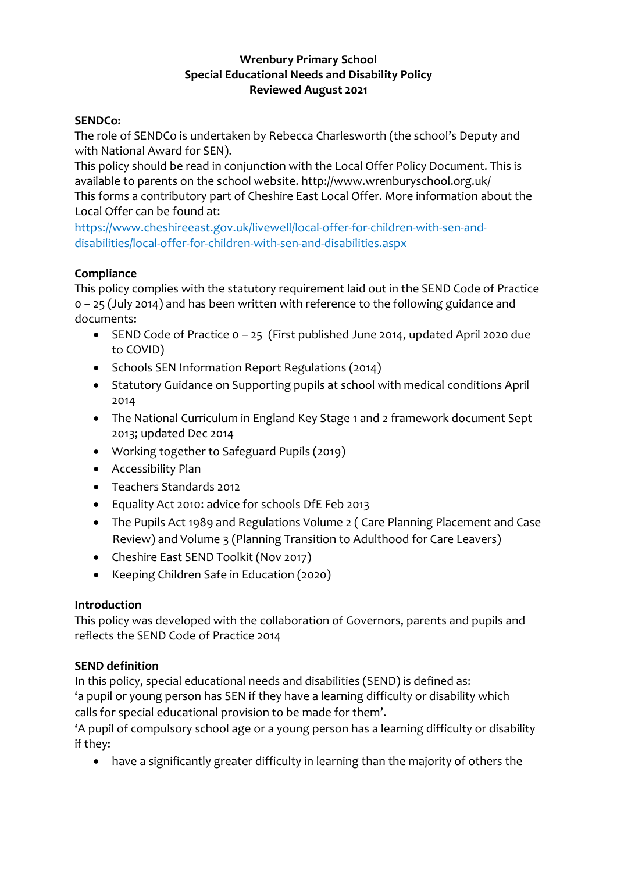## **Wrenbury Primary School Special Educational Needs and Disability Policy Reviewed August 2021**

## **SENDCo:**

The role of SENDCo is undertaken by Rebecca Charlesworth (the school's Deputy and with National Award for SEN).

This policy should be read in conjunction with the Local Offer Policy Document. This is available to parents on the school website. http://www.wrenburyschool.org.uk/ This forms a contributory part of Cheshire East Local Offer. More information about the Local Offer can be found at:

https://www.cheshireeast.gov.uk/livewell/local-offer-for-children-with-sen-anddisabilities/local-offer-for-children-with-sen-and-disabilities.aspx

## **Compliance**

This policy complies with the statutory requirement laid out in the SEND Code of Practice 0 – 25 (July 2014) and has been written with reference to the following guidance and documents:

- SEND Code of Practice 0 25 (First published June 2014, updated April 2020 due to COVID)
- Schools SEN Information Report Regulations (2014)
- Statutory Guidance on Supporting pupils at school with medical conditions April 2014
- The National Curriculum in England Key Stage 1 and 2 framework document Sept 2013; updated Dec 2014
- Working together to Safeguard Pupils (2019)
- Accessibility Plan
- Teachers Standards 2012
- Equality Act 2010: advice for schools DfE Feb 2013
- The Pupils Act 1989 and Regulations Volume 2 ( Care Planning Placement and Case Review) and Volume 3 (Planning Transition to Adulthood for Care Leavers)
- Cheshire East SEND Toolkit (Nov 2017)
- Keeping Children Safe in Education (2020)

## **Introduction**

This policy was developed with the collaboration of Governors, parents and pupils and reflects the SEND Code of Practice 2014

## **SEND definition**

In this policy, special educational needs and disabilities (SEND) is defined as: 'a pupil or young person has SEN if they have a learning difficulty or disability which calls for special educational provision to be made for them'.

'A pupil of compulsory school age or a young person has a learning difficulty or disability if they:

have a significantly greater difficulty in learning than the majority of others the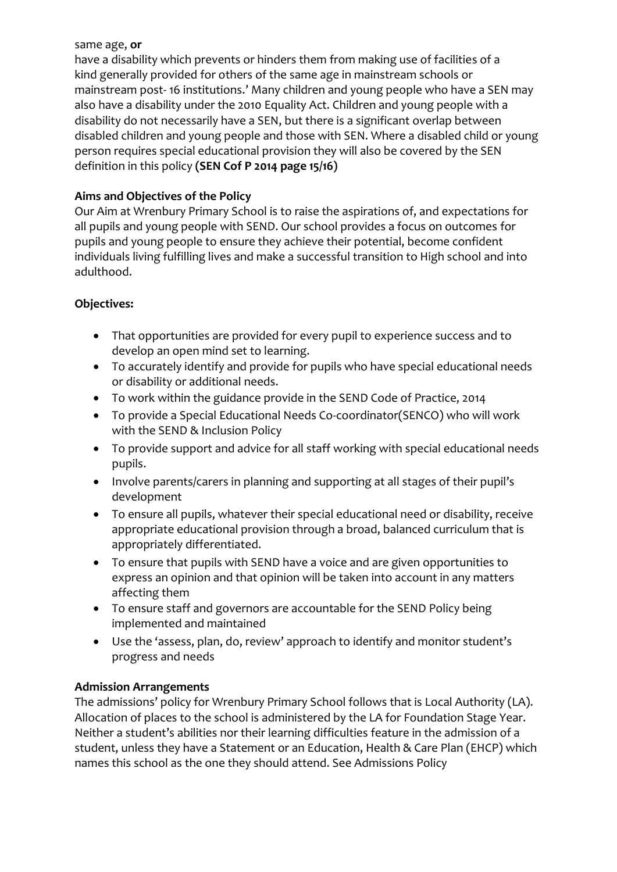#### same age, **or**

have a disability which prevents or hinders them from making use of facilities of a kind generally provided for others of the same age in mainstream schools or mainstream post- 16 institutions.' Many children and young people who have a SEN may also have a disability under the 2010 Equality Act. Children and young people with a disability do not necessarily have a SEN, but there is a significant overlap between disabled children and young people and those with SEN. Where a disabled child or young person requires special educational provision they will also be covered by the SEN definition in this policy **(SEN Cof P 2014 page 15/16)** 

## **Aims and Objectives of the Policy**

Our Aim at Wrenbury Primary School is to raise the aspirations of, and expectations for all pupils and young people with SEND. Our school provides a focus on outcomes for pupils and young people to ensure they achieve their potential, become confident individuals living fulfilling lives and make a successful transition to High school and into adulthood.

## **Objectives:**

- That opportunities are provided for every pupil to experience success and to develop an open mind set to learning.
- To accurately identify and provide for pupils who have special educational needs or disability or additional needs.
- To work within the guidance provide in the SEND Code of Practice, 2014
- To provide a Special Educational Needs Co-coordinator(SENCO) who will work with the SEND & Inclusion Policy
- To provide support and advice for all staff working with special educational needs pupils.
- Involve parents/carers in planning and supporting at all stages of their pupil's development
- To ensure all pupils, whatever their special educational need or disability, receive appropriate educational provision through a broad, balanced curriculum that is appropriately differentiated.
- To ensure that pupils with SEND have a voice and are given opportunities to express an opinion and that opinion will be taken into account in any matters affecting them
- To ensure staff and governors are accountable for the SEND Policy being implemented and maintained
- Use the 'assess, plan, do, review' approach to identify and monitor student's progress and needs

## **Admission Arrangements**

The admissions' policy for Wrenbury Primary School follows that is Local Authority (LA). Allocation of places to the school is administered by the LA for Foundation Stage Year. Neither a student's abilities nor their learning difficulties feature in the admission of a student, unless they have a Statement or an Education, Health & Care Plan (EHCP) which names this school as the one they should attend. See Admissions Policy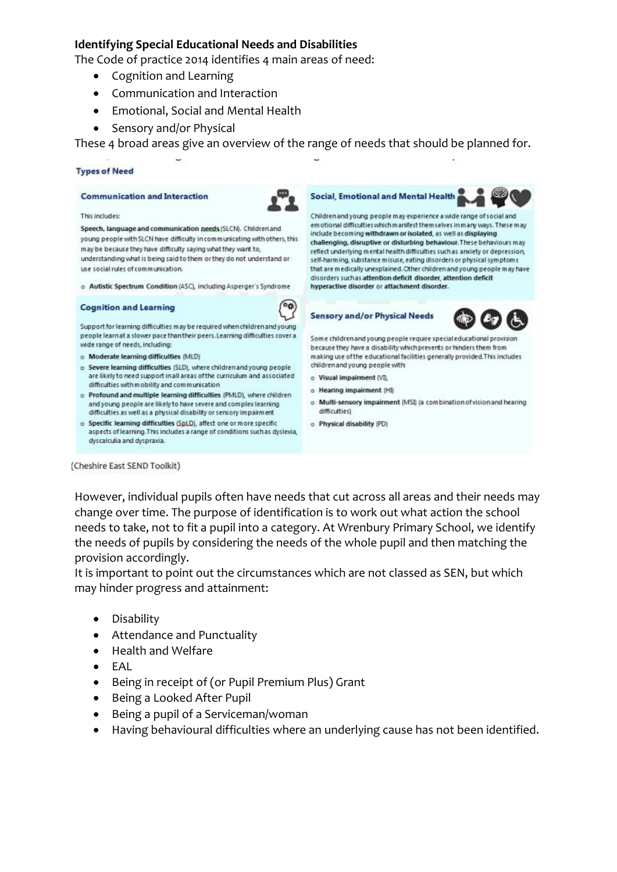#### **Identifying Special Educational Needs and Disabilities**

The Code of practice 2014 identifies 4 main areas of need:

- Cognition and Learning
- Communication and Interaction
- Emotional, Social and Mental Health
- Sensory and/or Physical

These 4 broad areas give an overview of the range of needs that should be planned for.

#### **Types of Need**

#### **Communication and Interaction**



This includes:

Speech, language and communication needs (SLCN). Children and young people with SLCN have difficulty in communicating with others, this may be because they have difficulty saying what they want to, understanding what is being said to them or they do not understand or use social rules of communication.

o Autistic Spectrum Condition (ASC), including Asperger's Syndrome

#### **Cognition and Learning**



Support for learning difficulties may be required when children and young people learn at a slower pace than their peers. Learning difficulties cover a wide range of needs, including:

- o Moderate learning difficulties (MLD)
- o Severe learning difficulties (SLD), where children and young people are likely to need support in all areas of the curriculum and associated difficulties with m obility and communication
- o Profound and multiple learning difficulties (PMLD), where children and young people are likely to have severe and complex learning difficulties as well as a physical disability or sensory impairment
- o Specific learning difficulties (SpLD), affect one or more specific aspects of learning. This includes a range of conditions such as dyslexia, dyscalculia and dyspraxia.



Children and young people may experience a wide range of social and em of ional difficulties which manifest them selves in many ways. These may include becoming withdrawn or isolated, as well as displaying challenging, disruptive or disturbing behaviour. These behaviours may reflect underlying mental health difficulties such as anxiety or depression, self-harming, substance misuse, eating disorders or physical symptoms that are medically unexplained. Other children and young people may have disorders such as attention deficit disorder, attention deficit hyperactive disorder or attachment disorder.

**Sensory and/or Physical Needs** 



Some children and young people require special educational provision because they have a disability which prevents or hinders them from making use of the educational facilities generally provided. This includes children and young people with:

- o Visual impairment (VI)
- o Hearing impairment (HI)
- o Multi-sensory impairment (MSI) (a combination of vision and hearing difficulties)
- o Physical disability (PD)

(Cheshire East SEND Toolkit)

However, individual pupils often have needs that cut across all areas and their needs may change over time. The purpose of identification is to work out what action the school needs to take, not to fit a pupil into a category. At Wrenbury Primary School, we identify the needs of pupils by considering the needs of the whole pupil and then matching the provision accordingly.

It is important to point out the circumstances which are not classed as SEN, but which may hinder progress and attainment:

- **•** Disability
- Attendance and Punctuality
- Health and Welfare
- $\bullet$  FAL
- Being in receipt of (or Pupil Premium Plus) Grant
- Being a Looked After Pupil
- Being a pupil of a Serviceman/woman
- Having behavioural difficulties where an underlying cause has not been identified.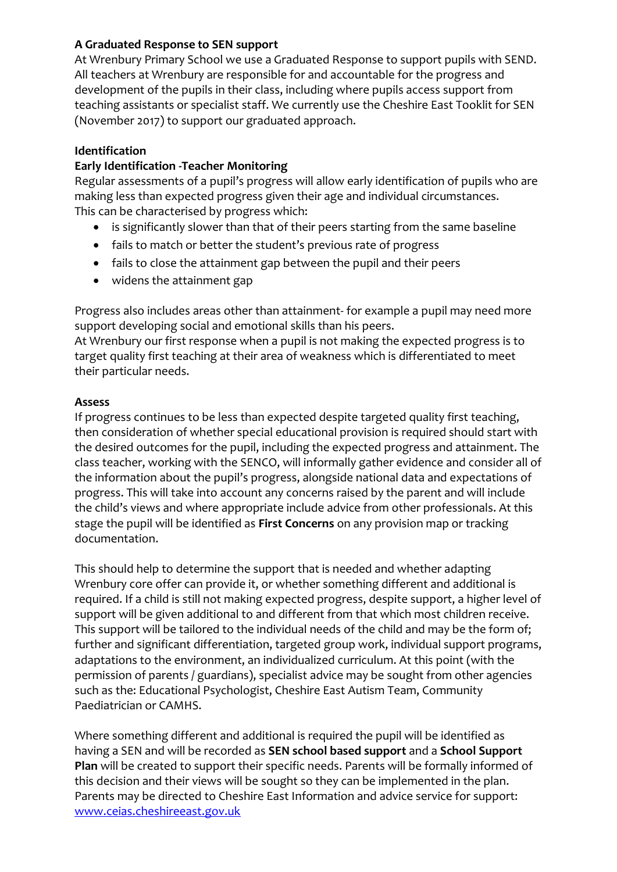## **A Graduated Response to SEN support**

At Wrenbury Primary School we use a Graduated Response to support pupils with SEND. All teachers at Wrenbury are responsible for and accountable for the progress and development of the pupils in their class, including where pupils access support from teaching assistants or specialist staff. We currently use the Cheshire East Tooklit for SEN (November 2017) to support our graduated approach.

## **Identification**

## **Early Identification -Teacher Monitoring**

Regular assessments of a pupil's progress will allow early identification of pupils who are making less than expected progress given their age and individual circumstances. This can be characterised by progress which:

- is significantly slower than that of their peers starting from the same baseline
- fails to match or better the student's previous rate of progress
- fails to close the attainment gap between the pupil and their peers
- widens the attainment gap

Progress also includes areas other than attainment- for example a pupil may need more support developing social and emotional skills than his peers.

At Wrenbury our first response when a pupil is not making the expected progress is to target quality first teaching at their area of weakness which is differentiated to meet their particular needs.

## **Assess**

If progress continues to be less than expected despite targeted quality first teaching, then consideration of whether special educational provision is required should start with the desired outcomes for the pupil, including the expected progress and attainment. The class teacher, working with the SENCO, will informally gather evidence and consider all of the information about the pupil's progress, alongside national data and expectations of progress. This will take into account any concerns raised by the parent and will include the child's views and where appropriate include advice from other professionals. At this stage the pupil will be identified as **First Concerns** on any provision map or tracking documentation.

This should help to determine the support that is needed and whether adapting Wrenbury core offer can provide it, or whether something different and additional is required. If a child is still not making expected progress, despite support, a higher level of support will be given additional to and different from that which most children receive. This support will be tailored to the individual needs of the child and may be the form of; further and significant differentiation, targeted group work, individual support programs, adaptations to the environment, an individualized curriculum. At this point (with the permission of parents / guardians), specialist advice may be sought from other agencies such as the: Educational Psychologist, Cheshire East Autism Team, Community Paediatrician or CAMHS.

Where something different and additional is required the pupil will be identified as having a SEN and will be recorded as **SEN school based support** and a **School Support Plan** will be created to support their specific needs. Parents will be formally informed of this decision and their views will be sought so they can be implemented in the plan. Parents may be directed to Cheshire East Information and advice service for support: [www.ceias.cheshireeast.gov.uk](http://www.ceias.cheshireeast.gov.uk/)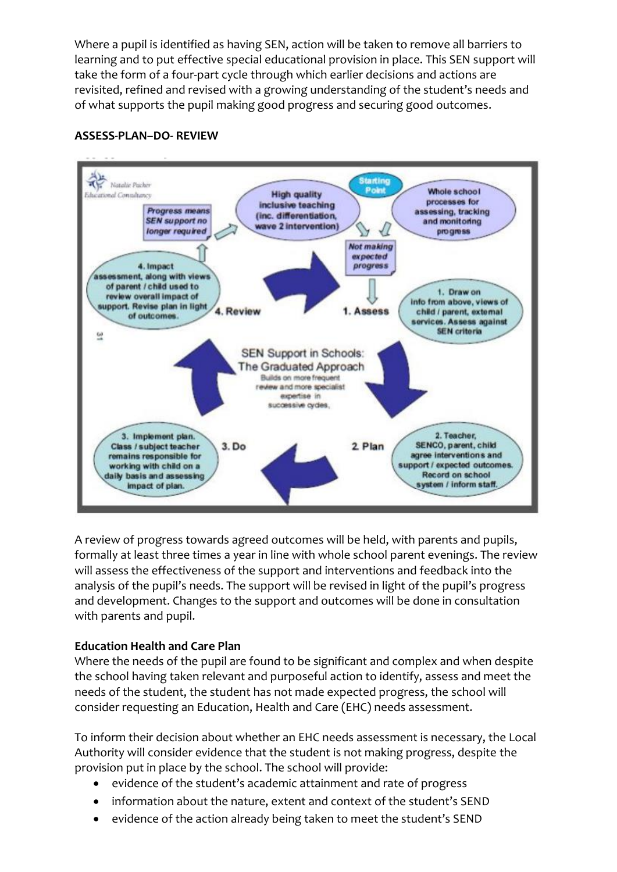Where a pupil is identified as having SEN, action will be taken to remove all barriers to learning and to put effective special educational provision in place. This SEN support will take the form of a four-part cycle through which earlier decisions and actions are revisited, refined and revised with a growing understanding of the student's needs and of what supports the pupil making good progress and securing good outcomes.



## **ASSESS-PLAN–DO- REVIEW**

A review of progress towards agreed outcomes will be held, with parents and pupils, formally at least three times a year in line with whole school parent evenings. The review will assess the effectiveness of the support and interventions and feedback into the analysis of the pupil's needs. The support will be revised in light of the pupil's progress and development. Changes to the support and outcomes will be done in consultation with parents and pupil.

## **Education Health and Care Plan**

Where the needs of the pupil are found to be significant and complex and when despite the school having taken relevant and purposeful action to identify, assess and meet the needs of the student, the student has not made expected progress, the school will consider requesting an Education, Health and Care (EHC) needs assessment.

To inform their decision about whether an EHC needs assessment is necessary, the Local Authority will consider evidence that the student is not making progress, despite the provision put in place by the school. The school will provide:

- evidence of the student's academic attainment and rate of progress
- information about the nature, extent and context of the student's SEND
- evidence of the action already being taken to meet the student's SEND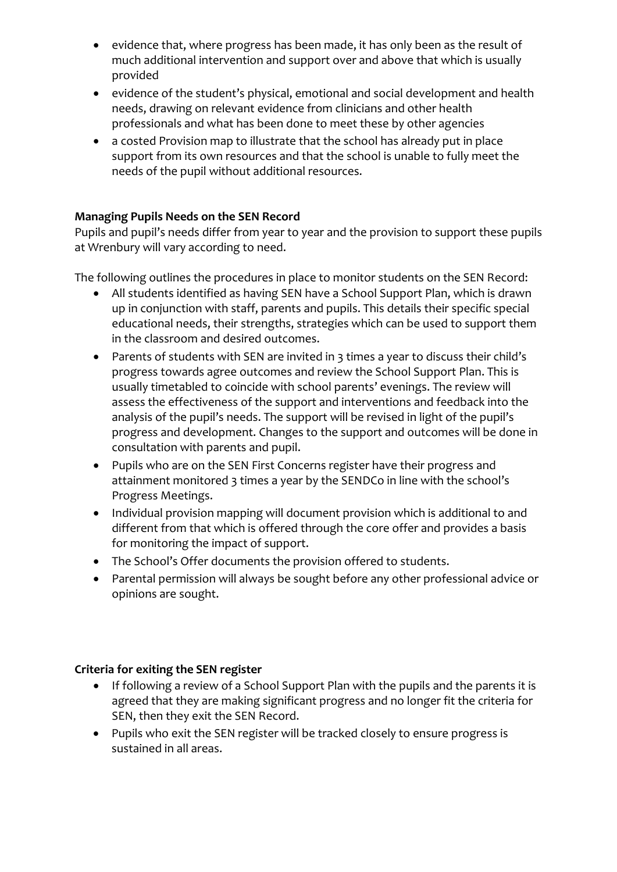- evidence that, where progress has been made, it has only been as the result of much additional intervention and support over and above that which is usually provided
- evidence of the student's physical, emotional and social development and health needs, drawing on relevant evidence from clinicians and other health professionals and what has been done to meet these by other agencies
- a costed Provision map to illustrate that the school has already put in place support from its own resources and that the school is unable to fully meet the needs of the pupil without additional resources.

## **Managing Pupils Needs on the SEN Record**

Pupils and pupil's needs differ from year to year and the provision to support these pupils at Wrenbury will vary according to need.

The following outlines the procedures in place to monitor students on the SEN Record:

- All students identified as having SEN have a School Support Plan, which is drawn up in conjunction with staff, parents and pupils. This details their specific special educational needs, their strengths, strategies which can be used to support them in the classroom and desired outcomes.
- Parents of students with SEN are invited in 3 times a year to discuss their child's progress towards agree outcomes and review the School Support Plan. This is usually timetabled to coincide with school parents' evenings. The review will assess the effectiveness of the support and interventions and feedback into the analysis of the pupil's needs. The support will be revised in light of the pupil's progress and development. Changes to the support and outcomes will be done in consultation with parents and pupil.
- Pupils who are on the SEN First Concerns register have their progress and attainment monitored 3 times a year by the SENDCo in line with the school's Progress Meetings.
- Individual provision mapping will document provision which is additional to and different from that which is offered through the core offer and provides a basis for monitoring the impact of support.
- The School's Offer documents the provision offered to students.
- Parental permission will always be sought before any other professional advice or opinions are sought.

## **Criteria for exiting the SEN register**

- If following a review of a School Support Plan with the pupils and the parents it is agreed that they are making significant progress and no longer fit the criteria for SEN, then they exit the SEN Record.
- Pupils who exit the SEN register will be tracked closely to ensure progress is sustained in all areas.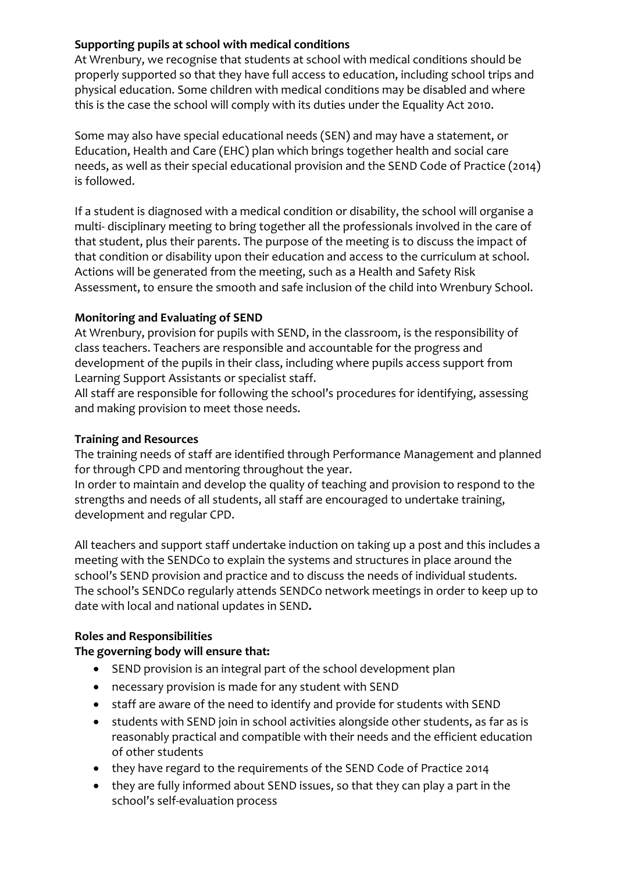## **Supporting pupils at school with medical conditions**

At Wrenbury, we recognise that students at school with medical conditions should be properly supported so that they have full access to education, including school trips and physical education. Some children with medical conditions may be disabled and where this is the case the school will comply with its duties under the Equality Act 2010.

Some may also have special educational needs (SEN) and may have a statement, or Education, Health and Care (EHC) plan which brings together health and social care needs, as well as their special educational provision and the SEND Code of Practice (2014) is followed.

If a student is diagnosed with a medical condition or disability, the school will organise a multi- disciplinary meeting to bring together all the professionals involved in the care of that student, plus their parents. The purpose of the meeting is to discuss the impact of that condition or disability upon their education and access to the curriculum at school. Actions will be generated from the meeting, such as a Health and Safety Risk Assessment, to ensure the smooth and safe inclusion of the child into Wrenbury School.

## **Monitoring and Evaluating of SEND**

At Wrenbury, provision for pupils with SEND, in the classroom, is the responsibility of class teachers. Teachers are responsible and accountable for the progress and development of the pupils in their class, including where pupils access support from Learning Support Assistants or specialist staff.

All staff are responsible for following the school's procedures for identifying, assessing and making provision to meet those needs.

## **Training and Resources**

The training needs of staff are identified through Performance Management and planned for through CPD and mentoring throughout the year.

In order to maintain and develop the quality of teaching and provision to respond to the strengths and needs of all students, all staff are encouraged to undertake training, development and regular CPD.

All teachers and support staff undertake induction on taking up a post and this includes a meeting with the SENDCo to explain the systems and structures in place around the school's SEND provision and practice and to discuss the needs of individual students. The school's SENDCo regularly attends SENDCo network meetings in order to keep up to date with local and national updates in SEND**.** 

# **Roles and Responsibilities**

# **The governing body will ensure that:**

- SEND provision is an integral part of the school development plan
- necessary provision is made for any student with SEND
- staff are aware of the need to identify and provide for students with SEND
- students with SEND join in school activities alongside other students, as far as is reasonably practical and compatible with their needs and the efficient education of other students
- they have regard to the requirements of the SEND Code of Practice 2014
- they are fully informed about SEND issues, so that they can play a part in the school's self-evaluation process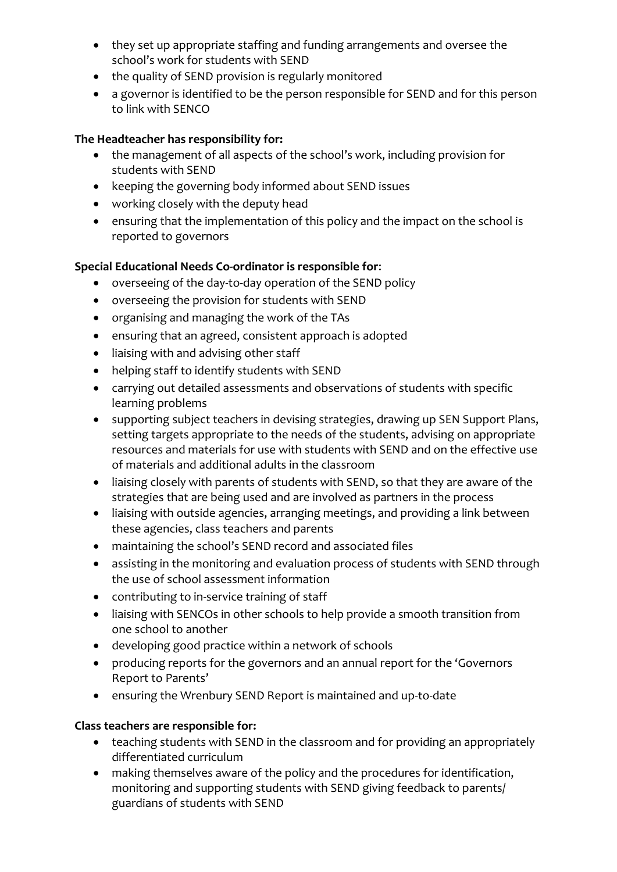- they set up appropriate staffing and funding arrangements and oversee the school's work for students with SEND
- the quality of SEND provision is regularly monitored
- a governor is identified to be the person responsible for SEND and for this person to link with SENCO

## **The Headteacher has responsibility for:**

- the management of all aspects of the school's work, including provision for students with SEND
- keeping the governing body informed about SEND issues
- working closely with the deputy head
- ensuring that the implementation of this policy and the impact on the school is reported to governors

## **Special Educational Needs Co-ordinator is responsible for**:

- overseeing of the day-to-day operation of the SEND policy
- overseeing the provision for students with SEND
- organising and managing the work of the TAs
- ensuring that an agreed, consistent approach is adopted
- liaising with and advising other staff
- helping staff to identify students with SEND
- carrying out detailed assessments and observations of students with specific learning problems
- supporting subject teachers in devising strategies, drawing up SEN Support Plans, setting targets appropriate to the needs of the students, advising on appropriate resources and materials for use with students with SEND and on the effective use of materials and additional adults in the classroom
- liaising closely with parents of students with SEND, so that they are aware of the strategies that are being used and are involved as partners in the process
- liaising with outside agencies, arranging meetings, and providing a link between these agencies, class teachers and parents
- maintaining the school's SEND record and associated files
- assisting in the monitoring and evaluation process of students with SEND through the use of school assessment information
- contributing to in-service training of staff
- liaising with SENCOs in other schools to help provide a smooth transition from one school to another
- developing good practice within a network of schools
- producing reports for the governors and an annual report for the 'Governors Report to Parents'
- ensuring the Wrenbury SEND Report is maintained and up-to-date

#### **Class teachers are responsible for:**

- teaching students with SEND in the classroom and for providing an appropriately differentiated curriculum
- making themselves aware of the policy and the procedures for identification, monitoring and supporting students with SEND giving feedback to parents/ guardians of students with SEND